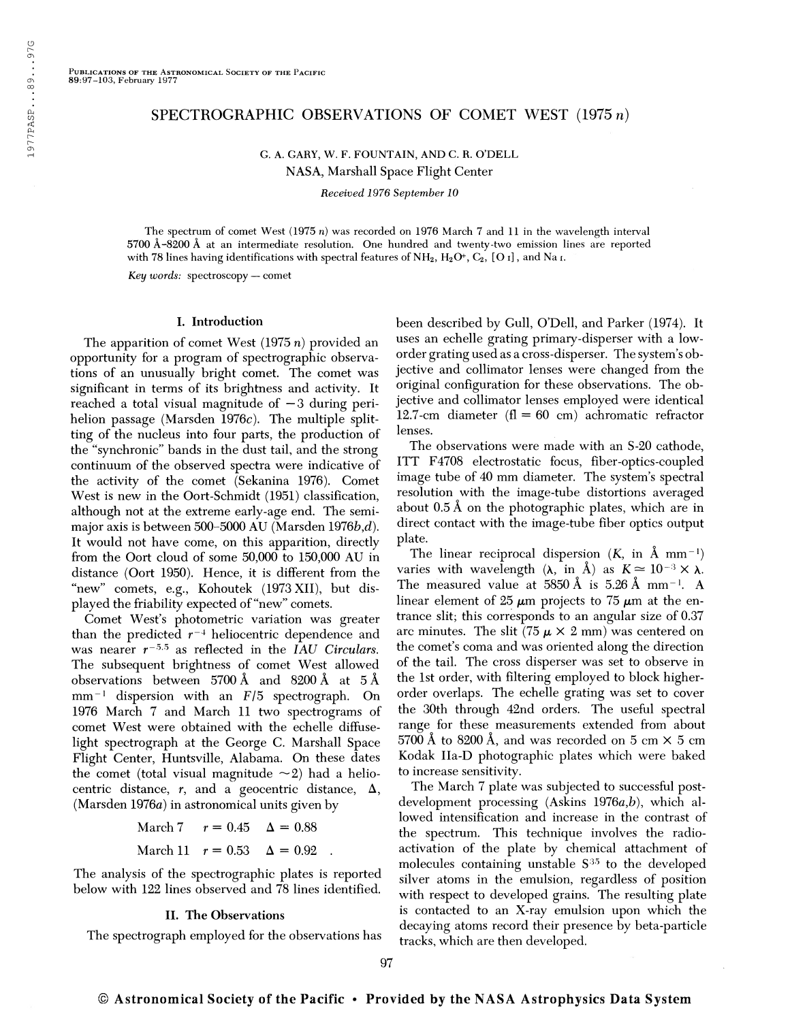# SPECTROGRAPHIC OBSERVATIONS OF COMET WEST  $(1975 n)$

G. A. GARY, W. F. FOUNTAIN, AND C. R. O'DELL NASA, Marshall Space Flight Center

Received 1976 September 10

The spectrum of comet West (1975 n) was recorded on 1976 March 7 and 11 in the wavelength interval 5700 Â-8200 Â at an intermediate resolution. One hundred and twenty-two emission lines are reported with 78 lines having identifications with spectral features of  $NH_2$ ,  $H_2O^+, C_2$ , [O I], and Na I.

Key words: spectroscopy — comet

### I. Introduction

The apparition of comet West  $(1975 n)$  provided an opportunity for a program of spectrographic observations of an unusually bright comet. The comet was significant in terms of its brightness and activity. It reached a total visual magnitude of  $-3$  during perihelion passage (Marsden 1976 $c$ ). The multiple splitting of the nucleus into four parts, the production of the "synchronie" bands in the dust tail, and the strong continuum of the observed spectra were indicative of the activity of the comet (Sekanina 1976). Comet West is new in the Oort-Schmidt (1951) classification, although not at the extreme early-age end. The semimajor axis is between 500-5000 AU (Marsden 1976 $b,d$ ). It would not have come, on this apparition, directly from the Oort cloud of some 50,000 to 150,000 AU in distance (Oort 1950). Hence, it is different from the "new" comets, e.g., Kohoutek (1973 XII), but displayed the friability expected of "new" comets.

Comet West's photometric variation was greater than the predicted  $r^{-4}$  heliocentric dependence and than the predicted  $r^{-3}$  heliocentric dependence and<br>was nearer  $r^{-5.5}$  as reflected in the IAU Circulars. The subsequent brightness of comet West allowed observations between 5700 Â and 8200 Â at 5 Â observations between 5700 A and 8200 A at 5 A<br>mm<sup>-1</sup> dispersion with an F/5 spectrograph. On 1976 March 7 and March 11 two spectrograms of comet West were obtained with the echelle diffuselight spectrograph at the George C. Marshall Space Flight Center, Huntsville, Alabama. On these dates the comet (total visual magnitude  $\sim$ 2) had a heliocentric distance, r, and a geocentric distance,  $\Delta$ , (Marsden 1976a) in astronomical units given by

> March 7  $r = 0.45 \Delta = 0.88$ March 11  $r = 0.53$   $\Delta = 0.92$

The analysis of the spectrographic plates is reported below with 122 lines observed and 78 lines identified.

#### II. The Observations

The spectrograph employed for the observations has

been described by Gull, O'Dell, and Parker (1974). It uses an echelle grating primary-disperser with a loworder grating used as a cross-disperser. The system's objective and collimator lenses were changed from the original configuration for these observations. The objective and collimator lenses employed were identical 12.7-cm diameter ( $fl = 60$  cm) achromatic refractor lenses.

The observations were made with an S-20 cathode, ITT F4708 electrostatic focus, fiber-optics-coupled image tube of 40 mm diameter. The system's spectral resolution with the image-tube distortions averaged about 0.5 Â on the photographic plates, which are in direct contact with the image-tube fiber optics output plate.

ate.<br>The linear reciprocal dispersion (*K*, in Å mm<sup>–1</sup>) The linear reciprocal dispersion  $(K, \text{ in } A \text{ mm}^{-1})$ <br>varies with wavelength  $(\lambda, \text{ in } \AA)$  as  $K \approx 10^{-3} \times \lambda$ . varies with wavelength  $(\lambda, \text{ in } A)$  as  $K \approx 10^{-3} \times \lambda$ .<br>The measured value at 5850 Å is 5.26 Å mm<sup>-1</sup>. A linear element of 25  $\mu$ m projects to 75  $\mu$ m at the entrance slit; this corresponds to an angular size of 0.37 arc minutes. The slit (75  $\mu$   $\times$  2 mm) was centered on the comet's coma and was oriented along the direction of the tail. The cross disperser was set to observe in the 1st order, with filtering employed to block higherorder overlaps. The echelle grating was set to cover the 30th through 42nd orders. The useful spectral range for these measurements extended from about  $5700$  Å to  $8200$  Å, and was recorded on 5 cm  $\times$  5 cm Kodak Ila-D photographic plates which were baked to increase sensitivity.

The March 7 plate was subjected to successful postdevelopment processing (Askins 1976a,b), which allowed intensification and increase in the contrast of the spectrum. This technique involves the radioactivation of the plate by chemical attachment of molecules containing unstable S 35 to the developed silver atoms in the emulsion, regardless of position with respect to developed grains. The resulting plate is contacted to an X-ray emulsion upon which the decaying atoms record their presence by beta-particle tracks, which are then developed.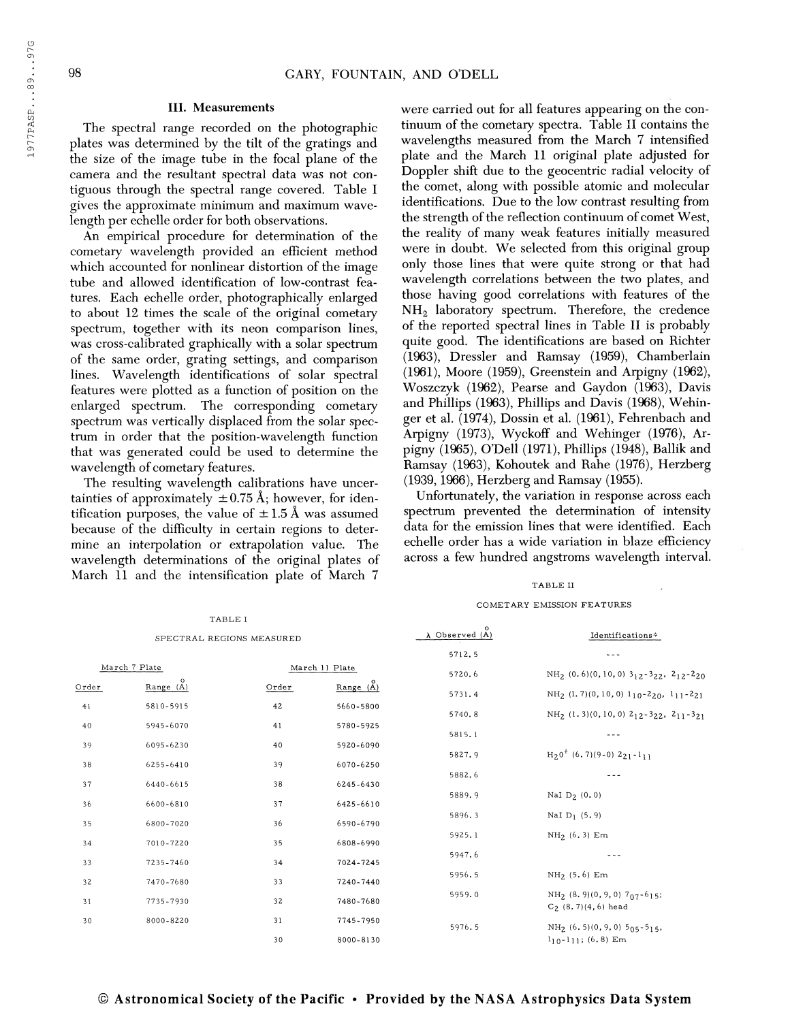#### III. Measurements

The spectral range recorded on the photographic plates was determined by the tilt of the gratings and the size of the image tube in the focal plane of the camera and the resultant spectral data was not contiguous through the spectral range covered. Table I gives the approximate minimum and maximum wavelength per echelle order for both observations.

An empirical procedure for determination of the cometary wavelength provided an efficient method which accounted for nonlinear distortion of the image tube and allowed identification of low-contrast features. Each echelle order, photographically enlarged to about 12 times the scale of the original cometary spectrum, together with its neon comparison lines, was cross-calibrated graphically with a solar spectrum of the same order, grating settings, and comparison lines. Wavelength identifications of solar spectral features were plotted as a function of position on the enlarged spectrum. The corresponding cometary spectrum was vertically displaced from the solar spectrum in order that the position-wavelength function that was generated could be used to determine the wavelength of cometary features.

The resulting wavelength calibrations have uncertainties of approximately  $\pm 0.75$  Å; however, for identification purposes, the value of  $\pm$  1.5 Å was assumed because of the difficulty in certain regions to determine an interpolation or extrapolation value. The wavelength determinations of the original plates of March 11 and the intensification plate of March 7

TABLE I

were carried out for all features appearing on the continuum of the cometary spectra. Table II contains the wavelengths measured from the March 7 intensified plate and the March 11 original plate adjusted for Doppler shift due to the geocentric radial velocity of the comet, along with possible atomic and molecular identifications. Due to the low contrast resulting from the strength of the reflection continuum of comet West, the reality of many weak features initially measured were in doubt. We selected from this original group only those lines that were quite strong or that had wavelength correlations between the two plates, and those having good correlations with features of the  $NH<sub>2</sub>$  laboratory spectrum. Therefore, the credence of the reported spectral lines in Table II is probably quite good. The identifications are based on Richter (1963), Dressler and Ramsay (1959), Chamberlain (1961), Moore (1959), Greenstein and Arpigny (1962), Woszczyk (1962), Pearse and Gaydon (1963), Davis and Phillips (1963), Phillips and Davis (1968), Wehinger et al. (1974), Dossin et al. (1961), Fehrenbach and Arpigny (1973), Wyckoff and Wehinger (1976), Arpigny (1965), O'Dell (1971), Phillips (1948), Ballik and Ramsay (1963), Kohoutek and Rahe (1976), Herzberg (1939,1966), Herzberg and Ramsay (1955).

Unfortunately, the variation in response across each spectrum prevented the determination of intensity data for the emission lines that were identified. Each echelle order has a wide variation in blaze efficiency across a few hundred angstroms wavelength interval.

# TABLE II

#### COMETARY EMISSION FEATURES

| SPECTRAL REGIONS MEASURED       |           |       |           | $\circ$<br>$\lambda$ Observed (A) | ${\bf Identities}$                                                                       |
|---------------------------------|-----------|-------|-----------|-----------------------------------|------------------------------------------------------------------------------------------|
|                                 |           |       |           | 5712.5                            |                                                                                          |
| March 7 Plate<br>March 11 Plate |           |       |           | 5720.6                            | $NH_2$ (0.6)(0,10,0) 3 <sub>12</sub> -3 <sub>22</sub> , 2 <sub>12</sub> -2 <sub>20</sub> |
| Order                           | Range (A) | Order | Range(A)  |                                   |                                                                                          |
|                                 | 5810-5915 | 42    | 5660-5800 | 5731.4                            | $\rm NH_2$ $(1.7)(0,10,0)$ $1_10\mbox{-} 2_{20},$<br>$1_11\mbox{-} 2_{21}$               |
| 41                              |           |       |           | 5740.8                            | $NH_2$ (1.3)(0,10,0) 2 <sub>12</sub> -3 <sub>22</sub> , 2 <sub>11</sub> -3 <sub>21</sub> |
| 40                              | 5945-6070 | 41    | 5780-5925 | 5815.1                            |                                                                                          |
| 39                              | 6095-6230 | 40    | 5920-6090 |                                   |                                                                                          |
| 38                              | 6255-6410 | 39    | 6070-6250 | 5827.9                            | $H_20^+$ (6.7)(9-0) $2_{21}$ -1 <sub>11</sub>                                            |
|                                 |           |       |           | 5882.6                            |                                                                                          |
| 37                              | 6440-6615 | 38    | 6245-6430 | 5889.9                            | NaI $D_2$ (0.0)                                                                          |
| 36                              | 6600-6810 | 37    | 6425-6610 |                                   |                                                                                          |
| 35                              | 6800-7020 | 36    | 6590-6790 | 5896.3                            | NaI $D_1$ (5.9)                                                                          |
|                                 |           |       |           | 5925.1                            | $NH_2(6.3)$ Em                                                                           |
| 34                              | 7010-7220 | 35    | 6808-6990 | 5947.6                            |                                                                                          |
| 33                              | 7235-7460 | 34    | 7024-7245 |                                   |                                                                                          |
| 32                              | 7470-7680 | 33    | 7240-7440 | 5956.5                            | $NH_2(5.6)$ Em                                                                           |
| 31                              |           | 32    | 7480-7680 | 5959.0                            | $NH_2$ (8.9)(0,9,0) 7 <sub>07</sub> -615;                                                |
|                                 | 7735-7930 |       |           |                                   | $C_2$ (8.7)(4,6) head                                                                    |
| 30                              | 8000-8220 | 31    | 7745-7950 | 5976.5                            | NH <sub>2</sub> $(6.5)(0.9.0)$ $5_{05}$ - $5_{15}$                                       |
|                                 |           | 30    | 8000-8130 |                                   | $1_{10} - 1_{11}$ ; (6.8) Em                                                             |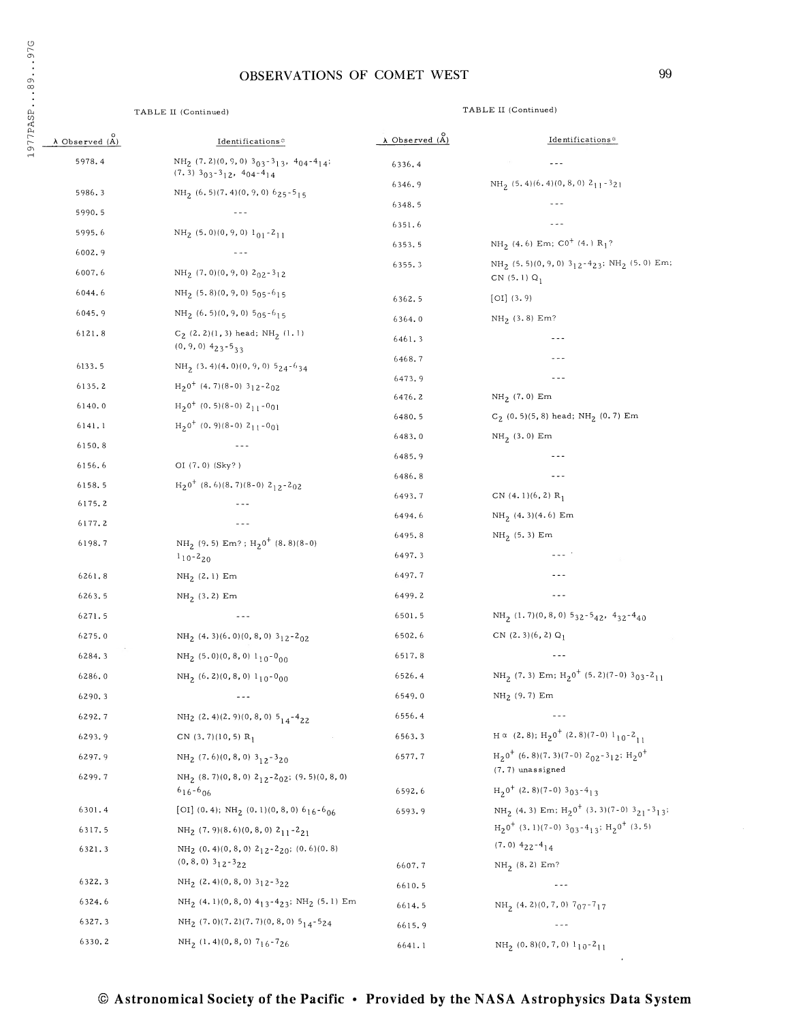# OBSERVATIONS OF COMET WEST 99

# TABLE II (Continued) TABLE II (Continued)

| $\lambda$ Observed $(A)$ | Identifications*                                                                                                                | $\lambda$ Observed $(\tilde{A})$ | Identifications*                                                                                                       |
|--------------------------|---------------------------------------------------------------------------------------------------------------------------------|----------------------------------|------------------------------------------------------------------------------------------------------------------------|
| 5978.4                   | $\mathrm{NH}_2$ (7.2)(0, 9, 0) 303-313, 404-414;<br>$(7.3)$ 3 <sub>03</sub> -3 <sub>12</sub> , 4 <sub>04</sub> -4 <sub>14</sub> | 6336.4                           |                                                                                                                        |
| 5986.3                   | $NH2$ (6.5)(7.4)(0,9,0) 625-515                                                                                                 | 6346.9                           | $NH_2$ (5.4)(6.4)(0,8,0) 2 <sub>11</sub> -3 <sub>21</sub>                                                              |
| 5990.5                   |                                                                                                                                 | 6348.5                           | $- - -$                                                                                                                |
| 5995.6                   | $NH_2$ (5.0)(0,9,0) $1_{01} - 2_{11}$                                                                                           | 6351.6                           |                                                                                                                        |
| 6002.9                   | $\sim$ $\sim$ $\sim$                                                                                                            | 6353.5                           | $NH_2(4.6)$ Em; C0 <sup>+</sup> (4.) R <sub>1</sub> ?                                                                  |
| 6007.6                   | NH <sub>2</sub> $(7.0)(0, 9, 0)$ $2_{02} - 3_{12}$                                                                              | 6355.3                           | NH <sub>2</sub> (5.5)(0, 9, 0) $3_{12}$ -4 <sub>23</sub> ; NH <sub>2</sub> (5.0) Em;<br>CN $(5.1) Q_1$                 |
| 6044.6                   | $NH_2$ (5.8)(0,9,0) 5 <sub>05</sub> -6 <sub>15</sub>                                                                            | 6362.5                           | [OI] (3.9)                                                                                                             |
| 6045.9                   | $NH_2$ (6.5)(0,9,0) $5_{05}$ -6 <sub>15</sub>                                                                                   | 6364.0                           | $NH_2$ (3.8) Em?                                                                                                       |
| 6121.8                   | $C_2$ (2.2)(1,3) head; NH <sub>2</sub> (1.1)<br>$(0, 9, 0)$ $423 - 533$                                                         | 6461.3                           |                                                                                                                        |
| 6133.5                   | $NH_2$ (3.4)(4.0)(0,9,0) 5 <sub>24</sub> -6 <sub>34</sub>                                                                       | 6468.7                           | ---                                                                                                                    |
| 6135.2                   | $H20+$ (4.7)(8-0) 3 <sub>12</sub> -2 <sub>02</sub>                                                                              | 6473.9                           | $- - -$                                                                                                                |
| 6140.0                   | $H_2 0^+$ (0.5)(8-0) 2 <sub>11</sub> -0 <sub>01</sub>                                                                           | 6476.2                           | $NH_2$ (7.0) Em                                                                                                        |
| 6141.1                   | $H_20^+$ (0.9)(8-0) 2 <sub>11</sub> -0 <sub>01</sub>                                                                            | 6480.5                           | $C_2$ (0.5)(5,8) head; NH <sub>2</sub> (0.7) Em                                                                        |
| 6150.8                   | $\frac{1}{2}$                                                                                                                   | 6483.0                           | $NH_2(3.0)$ Em                                                                                                         |
| 6156.6                   | OI (7.0) (Sky?)                                                                                                                 | 6485.9                           | - - -                                                                                                                  |
| 6158.5                   | $H20+$ (8.6)(8.7)(8-0) 2 <sub>12</sub> -2 <sub>02</sub>                                                                         | 6486.8                           | $- - -$                                                                                                                |
| 6175.2                   |                                                                                                                                 | 6493.7                           | CN $(4.1)(6, 2)$ R <sub>1</sub>                                                                                        |
| 6177.2                   |                                                                                                                                 | 6494.6                           | $NH_2(4.3)(4.6)$ Em                                                                                                    |
| 6198.7                   | $NH_2$ (9.5) Em?; $H_2$ 0 <sup>+</sup> (8.8)(8-0)                                                                               | 6495.8                           | $NH_2$ (5.3) Em                                                                                                        |
|                          | $1_{10} - 2_{20}$                                                                                                               | 6497.3                           | --- 1                                                                                                                  |
| 6261.8                   | $\mathrm{NH}_2$ $(2,1)$ $\mathrm{Em}$                                                                                           | 6497.7                           | ---                                                                                                                    |
| 6263.5                   | $NH_2$ (3.2) Em                                                                                                                 | 6499.2                           | $- - -$                                                                                                                |
| 6271.5                   | $\sim$ $\sim$ $\sim$                                                                                                            | 6501.5                           | $NH_2$ (1.7)(0,8,0) 532-5 <sub>42</sub> , 4 <sub>32</sub> -4 <sub>40</sub>                                             |
| 6275.0                   | NH <sub>2</sub> (4.3)(6.0)(0,8,0) 3 <sub>12</sub> -2 <sub>02</sub>                                                              | 6502.6                           | CN $(2, 3)(6, 2)$ Q <sub>1</sub>                                                                                       |
| 6284.3                   | NH <sub>2</sub> $(5.0)(0, 8, 0)$ $1_{10}$ -0 <sub>00</sub>                                                                      | 6517.8                           | $- - -$                                                                                                                |
| 6286.0                   | $NH_2(6, 2)(0, 8, 0) 1_{10} - 0_{00}$                                                                                           | 6526.4                           | NH <sub>2</sub> (7.3) Em; H <sub>2</sub> <sup>0+</sup> (5.2)(7-0) 3 <sub>03</sub> -2 <sub>11</sub>                     |
| 6290.3                   | $- - -$                                                                                                                         | 6549.0                           | $NH2$ (9.7) Em                                                                                                         |
| 6292.7                   | NH <sub>2</sub> $(2.4)(2.9)(0, 8, 0)$ $5_{14}$ -4 <sub>22</sub>                                                                 | 6556.4                           | ---                                                                                                                    |
| 6293.9                   | CN $(3, 7)(10, 5)$ R <sub>1</sub>                                                                                               | 6563.3                           | $H \propto (2.8); H_2 0^+ (2.8)(7-0) 1_{10} - 2_{11}$                                                                  |
| 6297.9                   | NH <sub>2</sub> $(7.6)(0, 8, 0)$ 3 <sub>12</sub> -3 <sub>20</sub>                                                               | 6577.7                           | $\text{H}_2\text{0}^+$ (6.8)(7.3)(7-0) 2 <sub>02</sub> -3 <sub>12</sub> ; $\text{H}_2\text{0}^+$<br>$(7.7)$ unassigned |
| 6299.7                   | $NH_2$ (8.7)(0,8,0) $2_{12}$ -2 <sub>02</sub> ; (9.5)(0,8,0)<br>$616 - 606$                                                     | 6592.6                           | $H_2^0 + (2.8)(7-0)303-413$                                                                                            |
| 6301.4                   | [OI] $(0.4)$ ; NH <sub>2</sub> $(0.1)(0.8,0)$ $6_{16}$ - $6_{06}$                                                               | 6593.9                           | NH <sub>2</sub> (4.3) Em; $H_2^00^+$ (3.3)(7-0) 3 <sub>21</sub> -3 <sub>13</sub> ;                                     |
| 6317.5                   | NH <sub>2</sub> $(7.9)(8.6)(0, 8, 0)$ 2 <sub>11</sub> -2 <sub>21</sub>                                                          |                                  | $\text{H}_2\text{O}^+$ (3.1)(7-0) 3 <sub>03</sub> -4 <sub>13</sub> ; $\text{H}_2\text{O}^+$ (3.5)                      |
| 6321.3                   | NH <sub>2</sub> (0.4)(0,8,0) $2_{12} - 2_{20}$ ; (0.6)(0.8)                                                                     |                                  | $(7.0)$ $4_{22}$ - $4_{14}$                                                                                            |
|                          | $(0, 8, 0)$ $3_{12} - 3_{22}$                                                                                                   | 6607.7                           | $NH_2$ (8.2) Em?                                                                                                       |
| 6322.3                   | $NH_2$ (2.4)(0,8,0) 312-3 <sub>22</sub>                                                                                         | 6610.5                           |                                                                                                                        |
| 6324.6                   | $\mathrm{NH}_2\ (4.1)(0,8,0)$ $4_{1\,3}$ - $4_{2\,3};$ $\mathrm{NH}_2\ (5.1)$ $\mathrm{Em}$                                     | 6614.5                           | $NH_2$ (4.2)(0,7,0) 7 <sub>07</sub> -7 <sub>17</sub>                                                                   |
| 6327.3                   | $NH_2$ (7.0)(7.2)(7.7)(0,8,0) $5_{14}$ -5 <sub>24</sub>                                                                         | 6615.9                           | $- - -$                                                                                                                |
| 6330.2                   | $NH_2$ (1.4)(0,8,0) 7 <sub>16</sub> -7 <sub>26</sub>                                                                            | 6641.1                           | $NH_2$ (0.8)(0,7,0) $1_{10}$ -2 <sub>11</sub>                                                                          |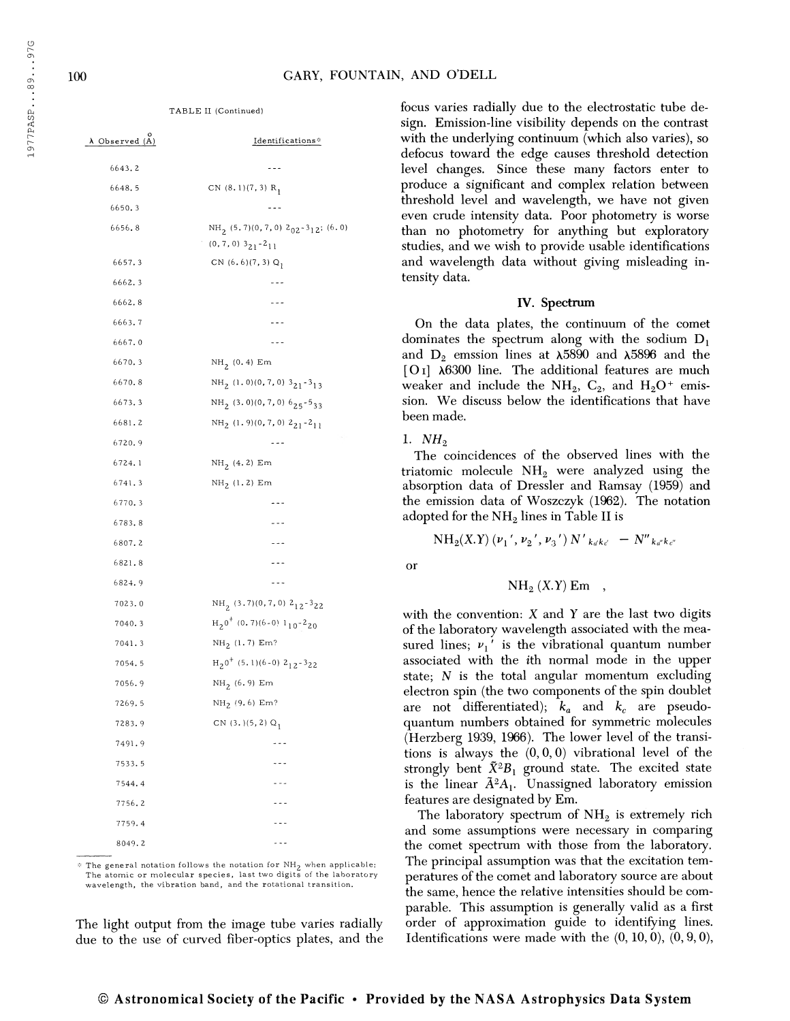TABLE II (Continued)

| Observed (A) | Identifications*                                                                                               |
|--------------|----------------------------------------------------------------------------------------------------------------|
| 6643.2       | ---                                                                                                            |
| 6648.5       | CN $(8.1)(7, 3)$ R <sub>1</sub>                                                                                |
| 6650.3       | $- - -$                                                                                                        |
| 6656.8       | NH <sub>2</sub> (5.7)(0,7,0) 2 <sub>02</sub> -3 <sub>12</sub> ; (6.0)<br>$(0, 7, 0)$ $3_{21}$ -2 <sub>11</sub> |
| 6657.3       | CN $(6.6)(7, 3)$ Q <sub>1</sub>                                                                                |
| 6662.3       |                                                                                                                |
| 6662.8       | ---                                                                                                            |
| 6663.7       | ---                                                                                                            |
| 6667.0       | ---                                                                                                            |
| 6670.3       | $NH_2(0.4)$ Em                                                                                                 |
| 6670.8       | $NH_2$ (1.0)(0,7,0) 3 <sub>21</sub> -3 <sub>13</sub>                                                           |
| 6673.3       | $NH_2(3.0)(0, 7, 0)$ 6 $25 - 533$                                                                              |
| 6681.2       | $NH_2$ (1.9)(0,7,0) $2_{21} - 2_{11}$                                                                          |
| 6720.9       |                                                                                                                |
| 6724.1       | $NH_2(4.2)$ Em                                                                                                 |
| 6741.3       | $NH_2(1.2)$ Em                                                                                                 |
| 6770.3       | ---                                                                                                            |
| 6783.8       |                                                                                                                |
| 6807.2       | $- - -$                                                                                                        |
| 6821.8       | - - -                                                                                                          |
| 6824.9       | - - -                                                                                                          |
| 7023.0       | $NH_2(3.7)(0.7,0)$ $2_{12} - 3_{22}$                                                                           |
| 7040.3       | $H_2^0$ <sup>+</sup> (0.7)(6-0) 1 <sub>10</sub> -2 <sub>20</sub>                                               |
| 7041.3       | $NH_2$ (1.7) Em?                                                                                               |
| 7054.5       | $H_2$ <sup>0+</sup> (5, 1)(6-0) 2 <sub>12</sub> -3 <sub>22</sub>                                               |
| 7056.9       | $NH_2(6.9)$ Em                                                                                                 |
| 7269.5       | NH <sub>2</sub> (9.6) Em?                                                                                      |
| 7283.9       | CN $(3,)(5,2)$ Q <sub>1</sub>                                                                                  |
| 7491.9       |                                                                                                                |
| 7533.5       | .                                                                                                              |
| 7544.4       | .                                                                                                              |
| 7756.2       | .                                                                                                              |
| 7759.4       | .                                                                                                              |
| 8049.2       | .                                                                                                              |

 $*$  The general notation follows the notation for  $NH_2$  when applicable: The atomic or molecular species, last two digits of the laboratory wavelength, the vibration band, and the rotational transition.

The light output from the image tube varies radially due to the use of curved fiber-optics plates, and the focus varies radially due to the electrostatic tube design. Emission-line visibility depends on the contrast with the underlying continuum (which also varies), so defocus toward the edge causes threshold detection level changes. Since these many factors enter to produce a significant and complex relation between threshold level and wavelength, we have not given even crude intensity data. Poor photometry is worse than no photometry for anything but exploratory studies, and we wish to provide usable identifications and wavelength data without giving misleading intensity data.

#### IV. Spectrum

On the data plates, the continuum of the comet dominates the spectrum along with the sodium  $D_1$ and  $D_2$  emssion lines at  $\lambda$ 5890 and  $\lambda$ 5896 and the [ $O<sub>I</sub>$ ]  $\lambda$ 6300 line. The additional features are much weaker and include the  $NH_2$ ,  $C_2$ , and  $H_2O^+$  emission. We discuss below the identifications that have been made.

## 1.  $NH<sub>2</sub>$

The coincidences of the observed lines with the triatomic molecule  $NH<sub>2</sub>$  were analyzed using the absorption data of Dressier and Ramsay (1959) and the emission data of Woszczyk (1962). The notation adopted for the  $NH<sub>2</sub>$  lines in Table II is

$$
\mathrm{NH}_2(X,Y)\,(v_1{}',v_2{}',v_3{}')\,N'_{k_dk_d} - N''_{k_dk_d}
$$

or

$$
\mathrm{NH}_2(X.Y) \mathrm{Em} \quad ,
$$

with the convention:  $X$  and  $Y$  are the last two digits of the laboratory wavelength associated with the measured lines;  $v_1'$  is the vibrational quantum number associated with the ith normal mode in the upper state;  $N$  is the total angular momentum excluding electron spin (the two components of the spin doublet are not differentiated);  $k_a$  and  $k_c$  are pseudoquantum numbers obtained for symmetric molecules (Herzberg 1939, 1966). The lower level of the transitions is always the  $(0,0,0)$  vibrational level of the strongly bent  $\tilde{X}^2B_1$  ground state. The excited state is the linear  $\tilde{A}^2A_1$ . Unassigned laboratory emission features are designated by Em.

The laboratory spectrum of  $NH<sub>2</sub>$  is extremely rich and some assumptions were necessary in comparing the comet spectrum with those from the laboratory. The principal assumption was that the excitation temperatures of the comet and laboratory source are about the same, hence the relative intensities should be comparable. This assumption is generally valid as a first order of approximation guide to identifying lines. Identifications were made with the  $(0, 10, 0)$ ,  $(0, 9, 0)$ ,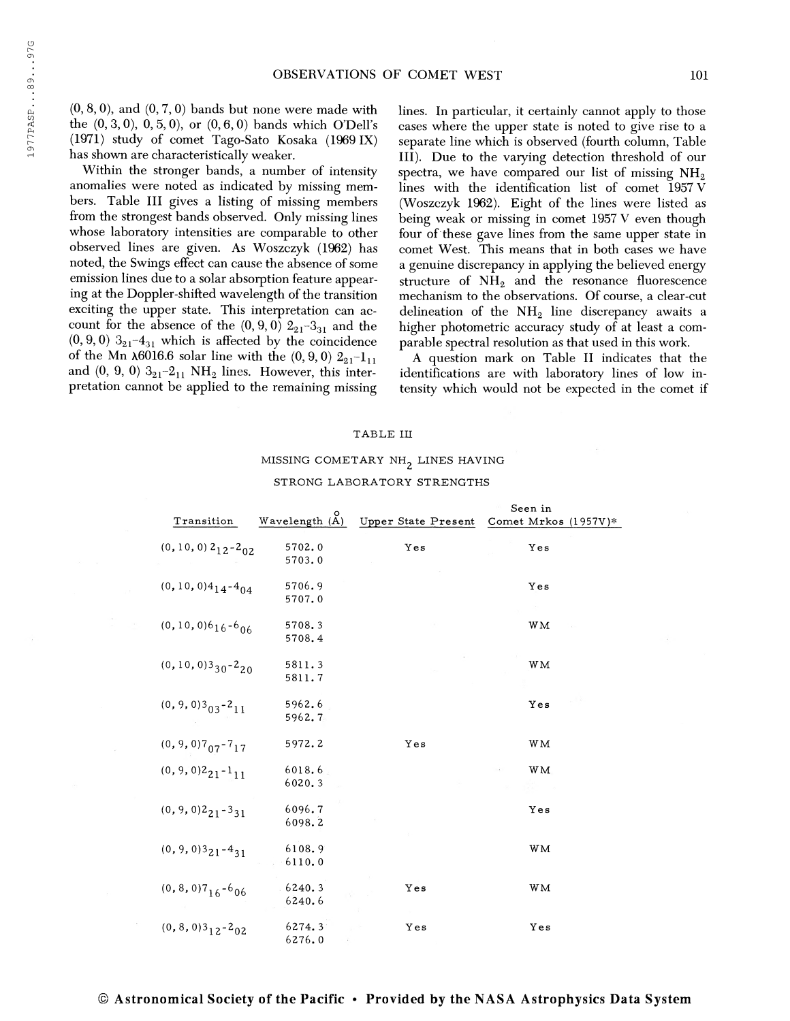Within the stronger bands, a number of intensity anomalies were noted as indicated by missing members. Table III gives a listing of missing members from the strongest bands observed. Only missing lines whose laboratory intensities are comparable to other observed lines are given. As Woszczyk (1962) has noted, the Swings effect can cause the absence of some emission lines due to a solar absorption feature appearing at the Doppler-shifted wavelength of the transition exciting the upper state. This interpretation can account for the absence of the  $(0,9,0)$   $2_{21}$ -3<sub>31</sub> and the  $(0, 9, 0)$  3<sub>21</sub>-4<sub>31</sub> which is affected by the coincidence of the Mn  $\lambda$ 6016.6 solar line with the (0, 9, 0)  $2_{21}-1_{11}$ and  $(0, 9, 0)$   $3_{21}$  $-2_{11}$  NH<sub>2</sub> lines. However, this interpretation cannot be applied to the remaining missing

lines. In particular, it certainly cannot apply to those cases where the upper state is noted to give rise to a separate line which is observed (fourth column. Table III). Due to the varying detection threshold of our spectra, we have compared our list of missing  $NH<sub>2</sub>$ lines with the identification list of comet 1957 V (Woszczyk 1962). Eight of the lines were listed as being weak or missing in comet 1957 V even though four of these gave lines from the same upper state in comet West. This means that in both cases we have a genuine discrepancy in applying the believed energy structure of  $NH<sub>2</sub>$  and the resonance fluorescence mechanism to the observations. Of course, a clear-cut delineation of the  $NH<sub>2</sub>$  line discrepancy awaits a higher photometric accuracy study of at least a comparable spectral resolution as that used in this work.

A question mark on Table II indicates that the identifications are with laboratory lines of low intensity which would not be expected in the comet if

#### TABLE III

# MISSING COMETARY  $NH_2$  LINES HAVING

|                                                         |                  |                            | Seen in              |
|---------------------------------------------------------|------------------|----------------------------|----------------------|
| Transition                                              | Wavelength $(A)$ | <b>Upper State Present</b> | Comet Mrkos (1957V)* |
| $(0, 10, 0)$ $2_{12}$ - $2_{02}$                        | 5702.0<br>5703.0 | Yes                        | Yes                  |
| $(0, 10, 0)4_{14}-4_{04}$                               | 5706.9<br>5707.0 |                            | Yes                  |
| $(0, 10, 0)616 - 606$                                   | 5708.3<br>5708.4 |                            | <b>WM</b>            |
| $(0, 10, 0)3_{30} - 2_{20}$                             | 5811.3<br>5811.7 |                            | WМ                   |
| $(0, 9, 0)3_{03} - 2_{11}$                              | 5962.6<br>5962.7 |                            | Yes                  |
| $(0, 9, 0)7_{07}$ -7 <sub>17</sub>                      | 5972.2           | Yes                        | <b>WM</b>            |
| $(0, 9, 0)2_{21} - 1_{11}$                              | 6018.6<br>6020.3 |                            | WM.                  |
| $(0, 9, 0)$ <sup>2</sup> <sub>21</sub> -3 <sub>31</sub> | 6096.7<br>6098.2 |                            | Yes                  |
| $(0, 9, 0)$ <sup>3</sup> $21 - 4$ <sub>31</sub>         | 6108.9<br>6110.0 |                            | WМ                   |
| $(0, 8, 0)7_{16} - 6_{06}$                              | 6240.3<br>6240.6 | Yes                        | WМ                   |
| $(0, 8, 0)3_{12} - 2_{02}$                              | 6274.3<br>6276.0 | Yes                        | Yes                  |

#### STRONG LABORATORY STRENGTHS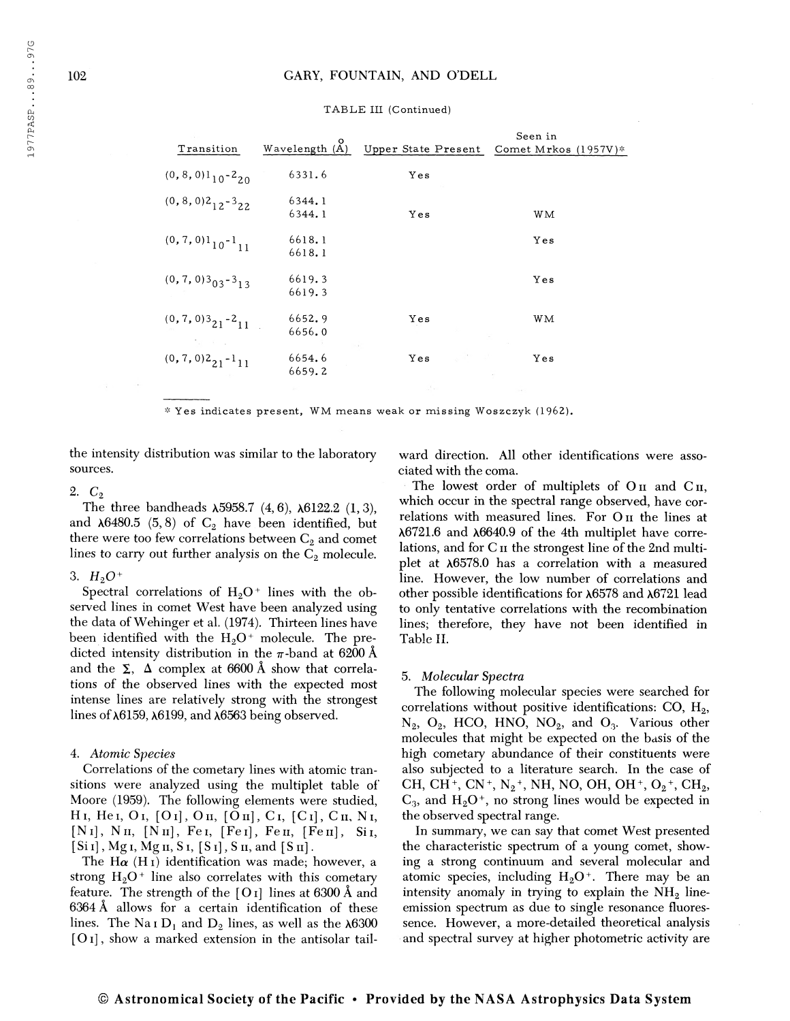| Transition                                                          | Wavelength(A)    |     | Seen in<br>Upper State Present Comet Mrkos (1957V)* |
|---------------------------------------------------------------------|------------------|-----|-----------------------------------------------------|
| $(0, 8, 0)$ <sup>1</sup> <sub>10</sub> -2 <sub>20</sub>             | 6331.6           | Yes |                                                     |
| $(0, 8, 0)$ <sup>2</sup> <sub>12</sub> -3 <sub>22</sub>             | 6344.1<br>6344.1 | Yes | WМ                                                  |
| $(0, 7, 0)$ <sup>1</sup> <sub>10</sub> - <sup>1</sup> <sub>11</sub> | 6618.1<br>6618.1 |     | Yes                                                 |
| $(0, 7, 0)$ 3 <sub>03</sub> -3 <sub>13</sub>                        | 6619.3<br>6619.3 |     | Yes                                                 |
| $(0, 7, 0)$ <sup>3</sup> <sub>21</sub> -2 <sub>11</sub>             | 6652.9<br>6656.0 | Yes | WМ                                                  |
| The state of the<br>$(0, 7, 0)$ <sub>21</sub> -1 <sub>11</sub>      | 6654.6<br>6659.2 | Yes | Yes                                                 |

#### TABLE III (Continued)

\* Yes indicates present, WM means weak or missing Woszczyk (1962).

the intensity distribution was similar to the laboratory sources.

2.  $C_2$ 

The three bandheads  $\lambda$ 5958.7 (4, 6),  $\lambda$ 6122.2 (1, 3), and  $\lambda$ 6480.5 (5,8) of C<sub>2</sub> have been identified, but there were too few correlations between  $C_2$  and comet lines to carry out further analysis on the  $C_2$  molecule.

3.  $H_2O^+$ 

Spectral correlations of  $H_2O^+$  lines with the observed lines in comet West have been analyzed using the data of Wehinger et al. (1974). Thirteen lines have been identified with the  $H_2O^+$  molecule. The predicted intensity distribution in the  $\pi$ -band at 6200 Å and the  $\Sigma$ ,  $\Delta$  complex at 6600 Å show that correlations of the observed lines with the expected most intense lines are relatively strong with the strongest lines of  $\lambda$ 6159,  $\lambda$ 6199, and  $\lambda$ 6563 being observed.

### 4. Atomic Species

Correlations of the cometary lines with atomic transitions were analyzed using the multiplet table of Moore (1959). The following elements were studied,  $H I$ ,  $He I$ ,  $O I$ ,  $[O I]$ ,  $O II$ ,  $[O II]$ ,  $C I$ ,  $[C I]$ ,  $C II$ ,  $N I$ , [N<sub>I</sub>], N<sub>II</sub>, [N<sub>II</sub>], Fe<sub>I</sub>, [Fe<sub>I</sub>], Fe<sub>II</sub>, [Fe<sub>II</sub>], S<sub>i<sub>I</sub>,</sub>  $[Si]$ , Mg<sub>I</sub>, Mg<sub>II</sub>, S<sub>I</sub>,  $[S]$ , S<sub>II</sub>, and  $[S]$ 

The H $\alpha$  (H<sub>I</sub>) identification was made; however, a strong  $H_2O^+$  line also correlates with this cometary feature. The strength of the  $[O<sub>I</sub>]$  lines at 6300 Å and 6364 Â allows for a certain identification of these lines. The Na<sub>I</sub> D<sub>1</sub> and D<sub>2</sub> lines, as well as the  $\lambda$ 6300  $[O<sub>I</sub>]$ , show a marked extension in the antisolar tailward direction. All other identifications were associated with the coma.

The lowest order of multiplets of  $O_{II}$  and  $C_{II}$ , which occur in the spectral range observed, have correlations with measured lines. For On the lines at  $\lambda$ 6721.6 and  $\lambda$ 6640.9 of the 4th multiplet have correlations, and for C<sub>II</sub> the strongest line of the 2nd multiplet at  $\lambda$ 6578.0 has a correlation with a measured line. However, the low number of correlations and other possible identifications for  $\lambda$ 6578 and  $\lambda$ 6721 lead to only tentative correlations with the recombination lines; therefore, they have not been identified in Table II.

#### 5. Molecular Spectra

The following molecular species were searched for correlations without positive identifications: CO,  $H_2$ , N<sub>2</sub>, O<sub>2</sub>, HCO, HNO, NO<sub>2</sub>, and O<sub>3</sub>. Various other molecules that might be expected on the basis of the high cometary abundance of their constituents were also subjected to a literature search. In the case of CH, CH<sup>+</sup>, CN<sup>+</sup>, N<sub>2</sub><sup>+</sup>, NH, NO, OH, OH<sup>+</sup>, O<sub>2</sub><sup>+</sup>, CH<sub>2</sub>,  $C_3$ , and  $H_2O<sup>+</sup>$ , no strong lines would be expected in the observed spectral range.

In summary, we can say that comet West presented the characteristic spectrum of a young comet, showing a strong continuum and several molecular and atomic species, including  $H_2O^+$ . There may be an intensity anomaly in trying to explain the  $NH<sub>2</sub>$  lineemission spectrum as due to single resonance fluoressence. However, a more-detailed theoretical analysis and spectral survey at higher photometric activity are